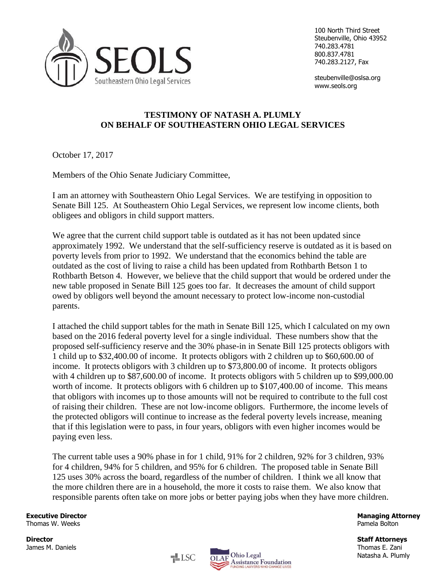

100 North Third Street Steubenville, Ohio 43952 740.283.4781 800.837.4781 740.283.2127, Fax

steubenville@oslsa.org www.seols.org

## **TESTIMONY OF NATASH A. PLUMLY ON BEHALF OF SOUTHEASTERN OHIO LEGAL SERVICES**

October 17, 2017

Members of the Ohio Senate Judiciary Committee,

I am an attorney with Southeastern Ohio Legal Services. We are testifying in opposition to Senate Bill 125. At Southeastern Ohio Legal Services, we represent low income clients, both obligees and obligors in child support matters.

We agree that the current child support table is outdated as it has not been updated since approximately 1992. We understand that the self-sufficiency reserve is outdated as it is based on poverty levels from prior to 1992. We understand that the economics behind the table are outdated as the cost of living to raise a child has been updated from Rothbarth Betson 1 to Rothbarth Betson 4. However, we believe that the child support that would be ordered under the new table proposed in Senate Bill 125 goes too far. It decreases the amount of child support owed by obligors well beyond the amount necessary to protect low-income non-custodial parents.

I attached the child support tables for the math in Senate Bill 125, which I calculated on my own based on the 2016 federal poverty level for a single individual. These numbers show that the proposed self-sufficiency reserve and the 30% phase-in in Senate Bill 125 protects obligors with 1 child up to \$32,400.00 of income. It protects obligors with 2 children up to \$60,600.00 of income. It protects obligors with 3 children up to \$73,800.00 of income. It protects obligors with 4 children up to \$87,600.00 of income. It protects obligors with 5 children up to \$99,000.00 worth of income. It protects obligors with 6 children up to \$107,400.00 of income. This means that obligors with incomes up to those amounts will not be required to contribute to the full cost of raising their children. These are not low-income obligors. Furthermore, the income levels of the protected obligors will continue to increase as the federal poverty levels increase, meaning that if this legislation were to pass, in four years, obligors with even higher incomes would be paying even less.

The current table uses a 90% phase in for 1 child, 91% for 2 children, 92% for 3 children, 93% for 4 children, 94% for 5 children, and 95% for 6 children. The proposed table in Senate Bill 125 uses 30% across the board, regardless of the number of children. I think we all know that the more children there are in a household, the more it costs to raise them. We also know that responsible parents often take on more jobs or better paying jobs when they have more children.

 $\equiv$ LSC

Thomas W. Weeks Pamela Bolton

**Director Staff Attorneys**



**Executive Director Managing Attorney**

Natasha A. Plumly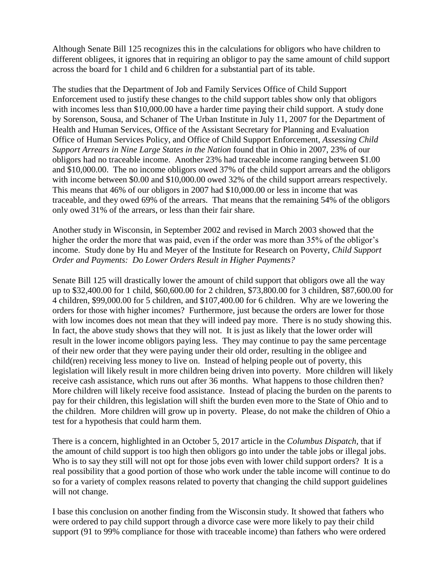Although Senate Bill 125 recognizes this in the calculations for obligors who have children to different obligees, it ignores that in requiring an obligor to pay the same amount of child support across the board for 1 child and 6 children for a substantial part of its table.

The studies that the Department of Job and Family Services Office of Child Support Enforcement used to justify these changes to the child support tables show only that obligors with incomes less than \$10,000.00 have a harder time paying their child support. A study done by Sorenson, Sousa, and Schaner of The Urban Institute in July 11, 2007 for the Department of Health and Human Services, Office of the Assistant Secretary for Planning and Evaluation Office of Human Services Policy, and Office of Child Support Enforcement, *Assessing Child Support Arrears in Nine Large States in the Nation* found that in Ohio in 2007, 23% of our obligors had no traceable income. Another 23% had traceable income ranging between \$1.00 and \$10,000.00. The no income obligors owed 37% of the child support arrears and the obligors with income between \$0.00 and \$10,000.00 owed 32% of the child support arrears respectively. This means that 46% of our obligors in 2007 had \$10,000.00 or less in income that was traceable, and they owed 69% of the arrears. That means that the remaining 54% of the obligors only owed 31% of the arrears, or less than their fair share.

Another study in Wisconsin, in September 2002 and revised in March 2003 showed that the higher the order the more that was paid, even if the order was more than 35% of the obligor's income. Study done by Hu and Meyer of the Institute for Research on Poverty, *Child Support Order and Payments: Do Lower Orders Result in Higher Payments?* 

Senate Bill 125 will drastically lower the amount of child support that obligors owe all the way up to \$32,400.00 for 1 child, \$60,600.00 for 2 children, \$73,800.00 for 3 children, \$87,600.00 for 4 children, \$99,000.00 for 5 children, and \$107,400.00 for 6 children. Why are we lowering the orders for those with higher incomes? Furthermore, just because the orders are lower for those with low incomes does not mean that they will indeed pay more. There is no study showing this. In fact, the above study shows that they will not. It is just as likely that the lower order will result in the lower income obligors paying less. They may continue to pay the same percentage of their new order that they were paying under their old order, resulting in the obligee and child(ren) receiving less money to live on. Instead of helping people out of poverty, this legislation will likely result in more children being driven into poverty. More children will likely receive cash assistance, which runs out after 36 months. What happens to those children then? More children will likely receive food assistance. Instead of placing the burden on the parents to pay for their children, this legislation will shift the burden even more to the State of Ohio and to the children. More children will grow up in poverty. Please, do not make the children of Ohio a test for a hypothesis that could harm them.

There is a concern, highlighted in an October 5, 2017 article in the *Columbus Dispatch*, that if the amount of child support is too high then obligors go into under the table jobs or illegal jobs. Who is to say they still will not opt for those jobs even with lower child support orders? It is a real possibility that a good portion of those who work under the table income will continue to do so for a variety of complex reasons related to poverty that changing the child support guidelines will not change.

I base this conclusion on another finding from the Wisconsin study. It showed that fathers who were ordered to pay child support through a divorce case were more likely to pay their child support (91 to 99% compliance for those with traceable income) than fathers who were ordered